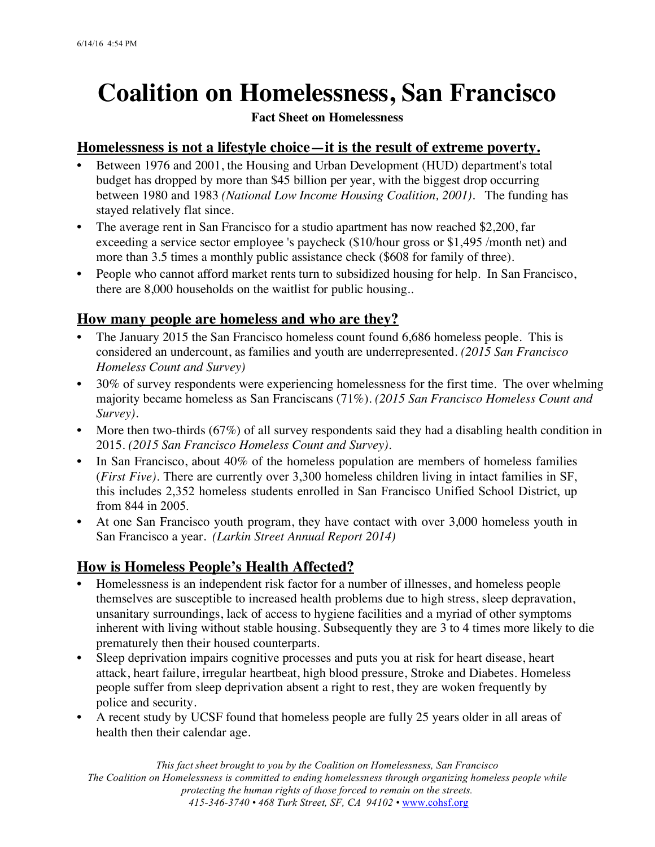# **Coalition on Homelessness, San Francisco**

#### **Fact Sheet on Homelessness**

#### **Homelessness is not a lifestyle choice—it is the result of extreme poverty.**

- **•** Between 1976 and 2001, the Housing and Urban Development (HUD) department's total budget has dropped by more than \$45 billion per year, with the biggest drop occurring between 1980 and 1983 *(National Low Income Housing Coalition, 2001).* The funding has stayed relatively flat since.
- **•** The average rent in San Francisco for a studio apartment has now reached \$2,200, far exceeding a service sector employee 's paycheck (\$10/hour gross or \$1,495 /month net) and more than 3.5 times a monthly public assistance check (\$608 for family of three).
- People who cannot afford market rents turn to subsidized housing for help. In San Francisco, there are 8,000 households on the waitlist for public housing..

## **How many people are homeless and who are they?**

- The January 2015 the San Francisco homeless count found 6,686 homeless people. This is considered an undercount, as families and youth are underrepresented. *(2015 San Francisco Homeless Count and Survey)*
- 30% of survey respondents were experiencing homelessness for the first time. The over whelming majority became homeless as San Franciscans (71%). *(2015 San Francisco Homeless Count and Survey).*
- More then two-thirds (67%) of all survey respondents said they had a disabling health condition in 2015. *(2015 San Francisco Homeless Count and Survey).*
- In San Francisco, about 40% of the homeless population are members of homeless families (*First Five).* There are currently over 3,300 homeless children living in intact families in SF, this includes 2,352 homeless students enrolled in San Francisco Unified School District, up from 844 in 2005.
- At one San Francisco youth program, they have contact with over 3,000 homeless youth in San Francisco a year. *(Larkin Street Annual Report 2014)*

## **How is Homeless People's Health Affected?**

- Homelessness is an independent risk factor for a number of illnesses, and homeless people themselves are susceptible to increased health problems due to high stress, sleep depravation, unsanitary surroundings, lack of access to hygiene facilities and a myriad of other symptoms inherent with living without stable housing. Subsequently they are 3 to 4 times more likely to die prematurely then their housed counterparts.
- Sleep deprivation impairs cognitive processes and puts you at risk for heart disease, heart attack, heart failure, irregular heartbeat, high blood pressure, Stroke and Diabetes. Homeless people suffer from sleep deprivation absent a right to rest, they are woken frequently by police and security.
- A recent study by UCSF found that homeless people are fully 25 years older in all areas of health then their calendar age.